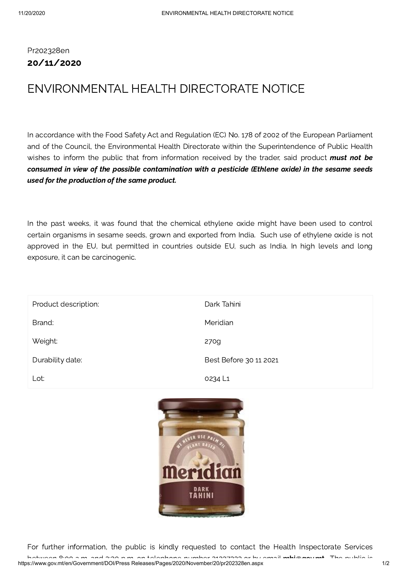## Pr202328en 20/11/2020

## ENVIRONMENTAL HEALTH DIRECTORATE NOTICE

In accordance with the Food Safety Act and Regulation (EC) No. 178 of 2002 of the European Parliament and of the Council, the Environmental Health Directorate within the Superintendence of Public Health wishes to inform the public that from information received by the trader, said product must not be consumed in view of the possible contamination with a pesticide (Ethlene oxide) in the sesame seeds used for the production of the same product.

In the past weeks, it was found that the chemical ethylene oxide might have been used to control certain organisms in sesame seeds, grown and exported from India. Such use of ethylene oxide is not approved in the EU, but permitted in countries outside EU, such as India. In high levels and long exposure, it can be carcinogenic.

| Product description: | Dark Tahini            |
|----------------------|------------------------|
| Brand:               | Meridian               |
| Weight:              | 270g                   |
| Durability date:     | Best Before 30 11 2021 |
| Lot:                 | 0234 L1                |



For further information, the public is kindly requested to contact the Health Inspectorate Services between 8:00 a m and 2:30 p m on telephone number 21337333 or by email [mhi@govmt](mailto:mhi@gov.mt) The public is